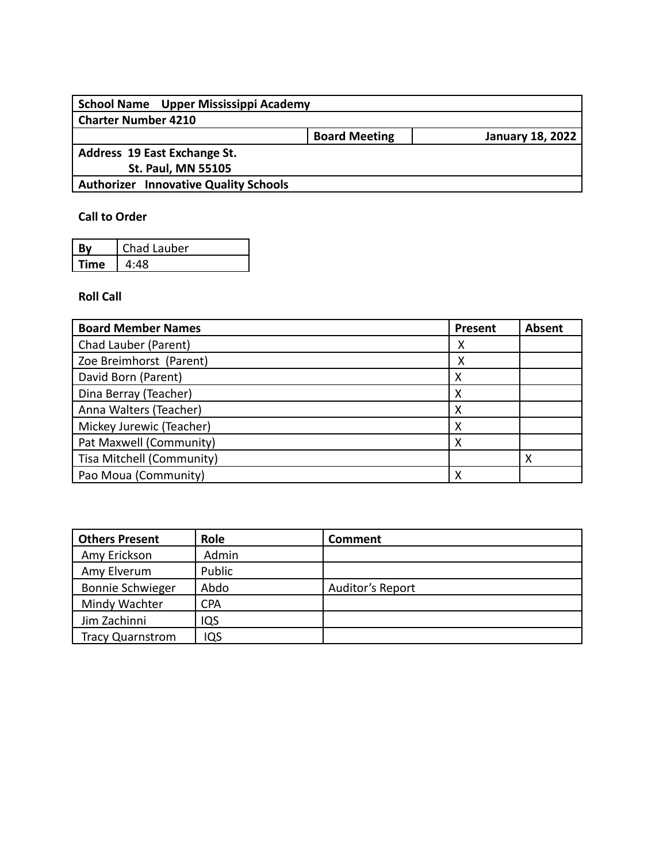| School Name Upper Mississippi Academy        |                      |                         |
|----------------------------------------------|----------------------|-------------------------|
| <b>Charter Number 4210</b>                   |                      |                         |
|                                              | <b>Board Meeting</b> | <b>January 18, 2022</b> |
| Address 19 East Exchange St.                 |                      |                         |
| <b>St. Paul, MN 55105</b>                    |                      |                         |
| <b>Authorizer Innovative Quality Schools</b> |                      |                         |
|                                              |                      |                         |

## **Call to Order**

|      | Chad Lauber |
|------|-------------|
| Time | 4:48        |

## **Roll Call**

| <b>Board Member Names</b> | Present | <b>Absent</b> |
|---------------------------|---------|---------------|
| Chad Lauber (Parent)      | х       |               |
| Zoe Breimhorst (Parent)   | х       |               |
| David Born (Parent)       | х       |               |
| Dina Berray (Teacher)     | х       |               |
| Anna Walters (Teacher)    | х       |               |
| Mickey Jurewic (Teacher)  | χ       |               |
| Pat Maxwell (Community)   | Χ       |               |
| Tisa Mitchell (Community) |         |               |
| Pao Moua (Community)      | х       |               |

| <b>Others Present</b>   | Role       | Comment          |
|-------------------------|------------|------------------|
| Amy Erickson            | Admin      |                  |
| Amy Elverum             | Public     |                  |
| <b>Bonnie Schwieger</b> | Abdo       | Auditor's Report |
| Mindy Wachter           | <b>CPA</b> |                  |
| Jim Zachinni            | IQS        |                  |
| <b>Tracy Quarnstrom</b> | IQS        |                  |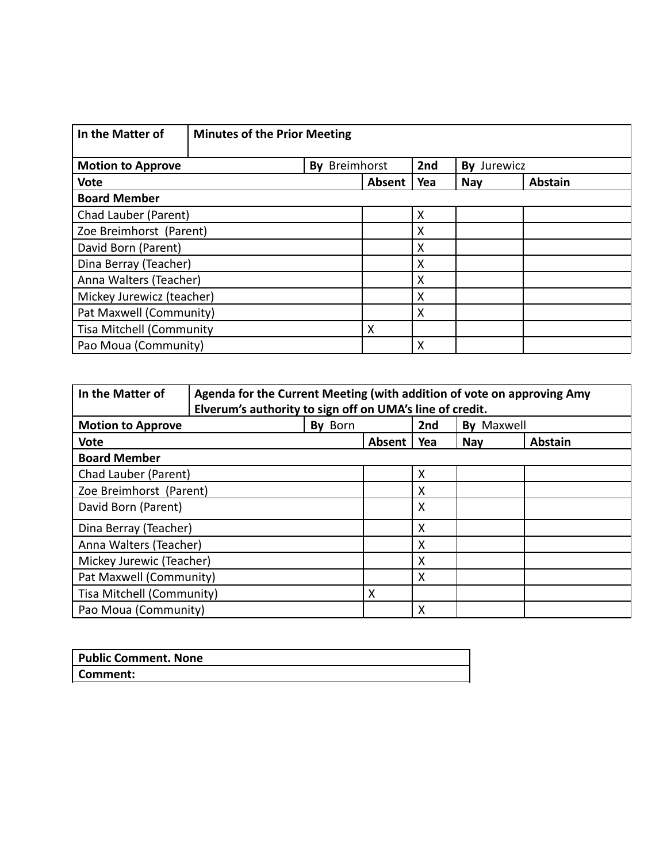| In the Matter of                | <b>Minutes of the Prior Meeting</b> |               |        |     |             |                |
|---------------------------------|-------------------------------------|---------------|--------|-----|-------------|----------------|
| <b>Motion to Approve</b>        |                                     | By Breimhorst |        | 2nd | By Jurewicz |                |
| <b>Vote</b>                     |                                     |               | Absent | Yea | <b>Nay</b>  | <b>Abstain</b> |
| <b>Board Member</b>             |                                     |               |        |     |             |                |
| Chad Lauber (Parent)            |                                     |               |        | X   |             |                |
| Zoe Breimhorst (Parent)         |                                     |               |        | X   |             |                |
| David Born (Parent)             |                                     |               |        | X   |             |                |
| Dina Berray (Teacher)           |                                     |               |        | X   |             |                |
| Anna Walters (Teacher)          |                                     |               |        | X   |             |                |
| Mickey Jurewicz (teacher)       |                                     |               |        | X   |             |                |
| Pat Maxwell (Community)         |                                     |               |        | X   |             |                |
| <b>Tisa Mitchell (Community</b> |                                     |               | X      |     |             |                |
| Pao Moua (Community)            |                                     |               |        | X   |             |                |

| In the Matter of<br>Agenda for the Current Meeting (with addition of vote on approving Amy<br>Elverum's authority to sign off on UMA's line of credit. |         |        |                           |                   |                |  |
|--------------------------------------------------------------------------------------------------------------------------------------------------------|---------|--------|---------------------------|-------------------|----------------|--|
| <b>Motion to Approve</b>                                                                                                                               | By Born |        | 2nd                       | <b>By Maxwell</b> |                |  |
| <b>Vote</b>                                                                                                                                            |         | Absent | Yea                       | <b>Nay</b>        | <b>Abstain</b> |  |
| <b>Board Member</b>                                                                                                                                    |         |        |                           |                   |                |  |
| Chad Lauber (Parent)                                                                                                                                   |         |        | X                         |                   |                |  |
| Zoe Breimhorst (Parent)                                                                                                                                |         |        | X                         |                   |                |  |
| David Born (Parent)                                                                                                                                    |         |        | X                         |                   |                |  |
| Dina Berray (Teacher)                                                                                                                                  |         |        | $\times$                  |                   |                |  |
| Anna Walters (Teacher)                                                                                                                                 |         |        | X                         |                   |                |  |
| Mickey Jurewic (Teacher)                                                                                                                               |         |        | X                         |                   |                |  |
| Pat Maxwell (Community)                                                                                                                                |         |        | X                         |                   |                |  |
| Tisa Mitchell (Community)                                                                                                                              |         | X      |                           |                   |                |  |
| Pao Moua (Community)                                                                                                                                   |         |        | $\boldsymbol{\mathsf{X}}$ |                   |                |  |

| <b>Public Comment. None</b> |  |
|-----------------------------|--|
| Comment:                    |  |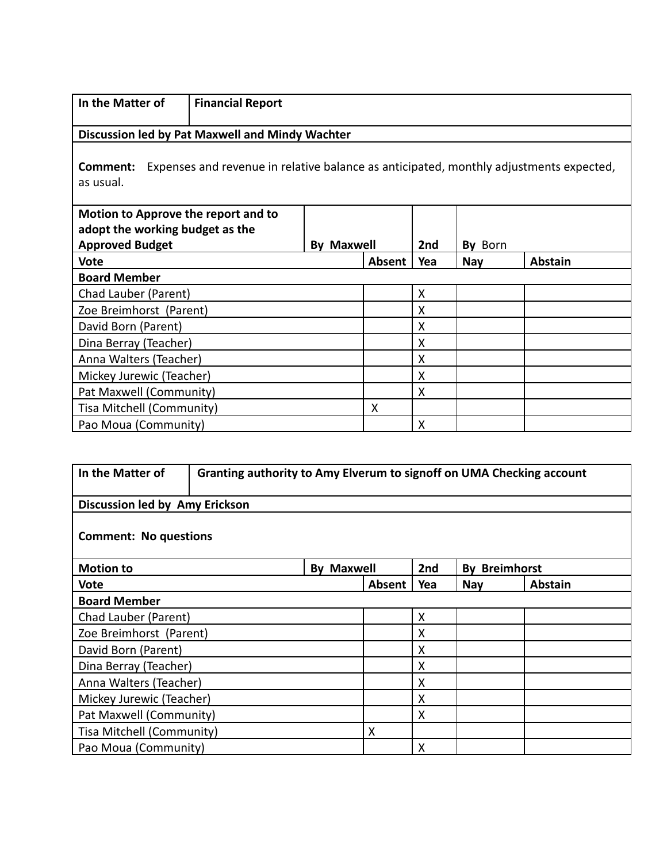| In the Matter of                                                                                                | <b>Financial Report</b>             |                   |        |     |            |         |  |
|-----------------------------------------------------------------------------------------------------------------|-------------------------------------|-------------------|--------|-----|------------|---------|--|
| Discussion led by Pat Maxwell and Mindy Wachter                                                                 |                                     |                   |        |     |            |         |  |
| Expenses and revenue in relative balance as anticipated, monthly adjustments expected,<br>Comment:<br>as usual. |                                     |                   |        |     |            |         |  |
|                                                                                                                 | Motion to Approve the report and to |                   |        |     |            |         |  |
| adopt the working budget as the                                                                                 |                                     |                   |        |     |            |         |  |
| <b>Approved Budget</b>                                                                                          |                                     | <b>By Maxwell</b> |        | 2nd | By Born    |         |  |
| <b>Vote</b>                                                                                                     |                                     |                   | Absent | Yea | <b>Nay</b> | Abstain |  |
| <b>Board Member</b>                                                                                             |                                     |                   |        |     |            |         |  |
| Chad Lauber (Parent)                                                                                            |                                     |                   |        | X   |            |         |  |
| Zoe Breimhorst (Parent)                                                                                         |                                     |                   |        | X   |            |         |  |
| David Born (Parent)                                                                                             |                                     |                   |        | X   |            |         |  |
| Dina Berray (Teacher)                                                                                           |                                     |                   |        | X   |            |         |  |
| Anna Walters (Teacher)                                                                                          |                                     |                   |        | X   |            |         |  |
| Mickey Jurewic (Teacher)                                                                                        |                                     |                   |        | X   |            |         |  |
| Pat Maxwell (Community)<br>X                                                                                    |                                     |                   |        |     |            |         |  |
| Tisa Mitchell (Community)                                                                                       |                                     |                   | X      |     |            |         |  |
| Pao Moua (Community)                                                                                            |                                     |                   |        | X   |            |         |  |

| In the Matter of<br>Granting authority to Amy Elverum to signoff on UMA Checking account |                           |                   |        |     |                      |                |  |
|------------------------------------------------------------------------------------------|---------------------------|-------------------|--------|-----|----------------------|----------------|--|
| Discussion led by Amy Erickson                                                           |                           |                   |        |     |                      |                |  |
| <b>Comment: No questions</b>                                                             |                           |                   |        |     |                      |                |  |
| <b>Motion to</b>                                                                         |                           | <b>By Maxwell</b> |        | 2nd | <b>By Breimhorst</b> |                |  |
| <b>Vote</b>                                                                              |                           |                   | Absent | Yea | <b>Nay</b>           | <b>Abstain</b> |  |
| <b>Board Member</b>                                                                      |                           |                   |        |     |                      |                |  |
| Chad Lauber (Parent)                                                                     |                           |                   |        | X   |                      |                |  |
| Zoe Breimhorst (Parent)                                                                  |                           |                   |        | X   |                      |                |  |
| David Born (Parent)                                                                      |                           |                   |        | X   |                      |                |  |
| Dina Berray (Teacher)                                                                    |                           |                   |        | X   |                      |                |  |
| X<br>Anna Walters (Teacher)                                                              |                           |                   |        |     |                      |                |  |
| X<br>Mickey Jurewic (Teacher)                                                            |                           |                   |        |     |                      |                |  |
| Pat Maxwell (Community)<br>X                                                             |                           |                   |        |     |                      |                |  |
| Tisa Mitchell (Community)                                                                | X                         |                   |        |     |                      |                |  |
|                                                                                          | X<br>Pao Moua (Community) |                   |        |     |                      |                |  |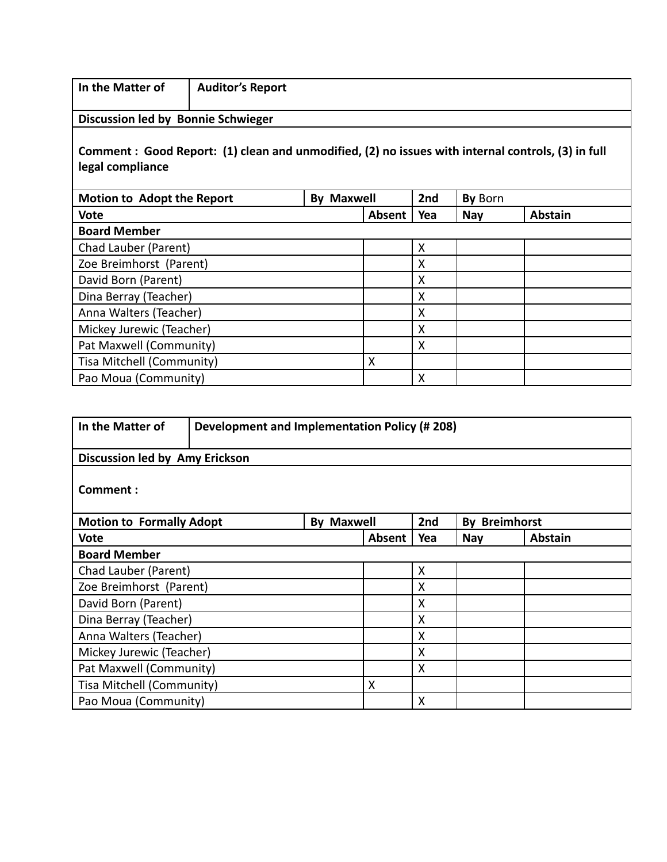| In the Matter of                                                                                                       | <b>Auditor's Report</b> |                   |        |     |            |                |  |
|------------------------------------------------------------------------------------------------------------------------|-------------------------|-------------------|--------|-----|------------|----------------|--|
| Discussion led by Bonnie Schwieger                                                                                     |                         |                   |        |     |            |                |  |
| Comment : Good Report: (1) clean and unmodified, (2) no issues with internal controls, (3) in full<br>legal compliance |                         |                   |        |     |            |                |  |
| <b>Motion to Adopt the Report</b>                                                                                      |                         | <b>By Maxwell</b> |        | 2nd | By Born    |                |  |
| <b>Vote</b>                                                                                                            |                         |                   | Absent | Yea | <b>Nay</b> | <b>Abstain</b> |  |
| <b>Board Member</b>                                                                                                    |                         |                   |        |     |            |                |  |
| Chad Lauber (Parent)                                                                                                   |                         |                   |        | X   |            |                |  |
| Zoe Breimhorst (Parent)                                                                                                |                         |                   |        | Χ   |            |                |  |
| David Born (Parent)                                                                                                    |                         |                   |        | X   |            |                |  |
| Dina Berray (Teacher)                                                                                                  |                         |                   |        | X   |            |                |  |
| Anna Walters (Teacher)                                                                                                 |                         |                   |        | X   |            |                |  |
| Mickey Jurewic (Teacher)                                                                                               |                         |                   |        | X   |            |                |  |
| Pat Maxwell (Community)                                                                                                |                         |                   |        | X   |            |                |  |
| Tisa Mitchell (Community)                                                                                              |                         |                   | X      |     |            |                |  |
| Pao Moua (Community)                                                                                                   |                         |                   |        | X   |            |                |  |

| In the Matter of<br><b>Development and Implementation Policy (#208)</b> |  |                   |        |     |                      |                |
|-------------------------------------------------------------------------|--|-------------------|--------|-----|----------------------|----------------|
| Discussion led by Amy Erickson                                          |  |                   |        |     |                      |                |
| Comment:                                                                |  |                   |        |     |                      |                |
| <b>Motion to Formally Adopt</b>                                         |  | <b>By Maxwell</b> |        | 2nd | <b>By Breimhorst</b> |                |
| Vote                                                                    |  |                   | Absent | Yea | <b>Nay</b>           | <b>Abstain</b> |
| <b>Board Member</b>                                                     |  |                   |        |     |                      |                |
| Chad Lauber (Parent)                                                    |  |                   |        | X   |                      |                |
| Zoe Breimhorst (Parent)                                                 |  |                   |        | X   |                      |                |
| David Born (Parent)                                                     |  |                   |        | X   |                      |                |
| Dina Berray (Teacher)                                                   |  |                   |        | X   |                      |                |
| Anna Walters (Teacher)<br>X                                             |  |                   |        |     |                      |                |
| Mickey Jurewic (Teacher)<br>X                                           |  |                   |        |     |                      |                |
| Pat Maxwell (Community)<br>X                                            |  |                   |        |     |                      |                |
| Tisa Mitchell (Community)                                               |  | X                 |        |     |                      |                |
| Pao Moua (Community)                                                    |  |                   |        | X   |                      |                |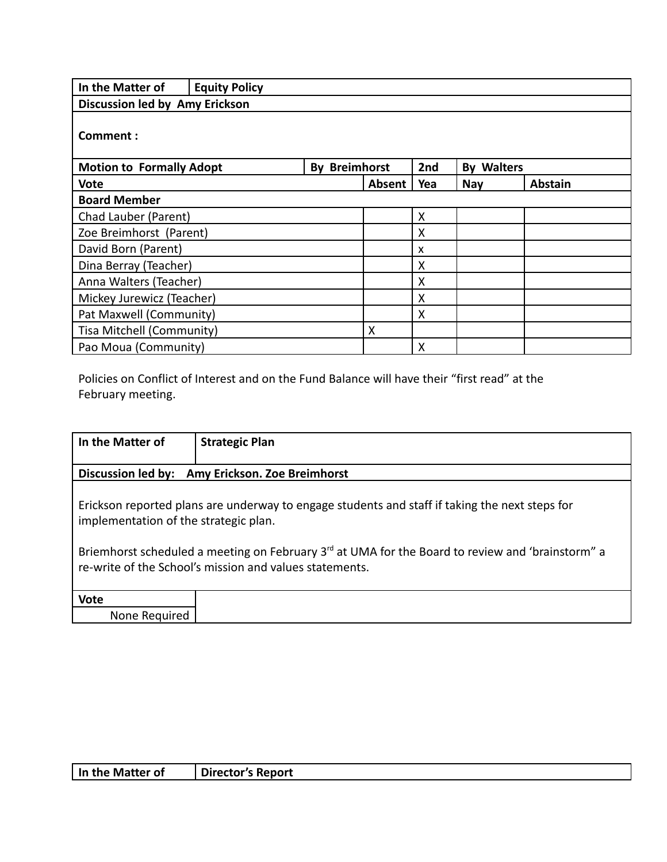| In the Matter of                | <b>Equity Policy</b> |                      |        |                           |                      |                |
|---------------------------------|----------------------|----------------------|--------|---------------------------|----------------------|----------------|
| Discussion led by Amy Erickson  |                      |                      |        |                           |                      |                |
| Comment:                        |                      |                      |        |                           |                      |                |
| <b>Motion to Formally Adopt</b> |                      | <b>By Breimhorst</b> |        | 2nd                       | <b>Walters</b><br>Bv |                |
| <b>Vote</b>                     |                      |                      | Absent | Yea                       | <b>Nay</b>           | <b>Abstain</b> |
| <b>Board Member</b>             |                      |                      |        |                           |                      |                |
| Chad Lauber (Parent)            |                      |                      |        | X                         |                      |                |
| Zoe Breimhorst (Parent)         |                      |                      |        | X                         |                      |                |
| David Born (Parent)             |                      |                      |        | $\boldsymbol{\mathsf{x}}$ |                      |                |
| Dina Berray (Teacher)           |                      |                      |        | X                         |                      |                |
| Anna Walters (Teacher)          |                      |                      |        | X                         |                      |                |
| Mickey Jurewicz (Teacher)       |                      |                      |        | X                         |                      |                |
| Pat Maxwell (Community)         |                      |                      |        | X                         |                      |                |
| Tisa Mitchell (Community)       |                      |                      | X      |                           |                      |                |
| Pao Moua (Community)            |                      |                      |        | X                         |                      |                |

Policies on Conflict of Interest and on the Fund Balance will have their "first read" at the February meeting.

| In the Matter of                                                                                                                                                                                                                                                                                                   | <b>Strategic Plan</b>                           |  |  |  |
|--------------------------------------------------------------------------------------------------------------------------------------------------------------------------------------------------------------------------------------------------------------------------------------------------------------------|-------------------------------------------------|--|--|--|
|                                                                                                                                                                                                                                                                                                                    |                                                 |  |  |  |
|                                                                                                                                                                                                                                                                                                                    | Discussion led by: Amy Erickson. Zoe Breimhorst |  |  |  |
| Erickson reported plans are underway to engage students and staff if taking the next steps for<br>implementation of the strategic plan.<br>Briemhorst scheduled a meeting on February 3 <sup>rd</sup> at UMA for the Board to review and 'brainstorm" a<br>re-write of the School's mission and values statements. |                                                 |  |  |  |
| <b>Vote</b>                                                                                                                                                                                                                                                                                                        |                                                 |  |  |  |
| None Required                                                                                                                                                                                                                                                                                                      |                                                 |  |  |  |

| In the Matter of | Director's Report |
|------------------|-------------------|
|------------------|-------------------|